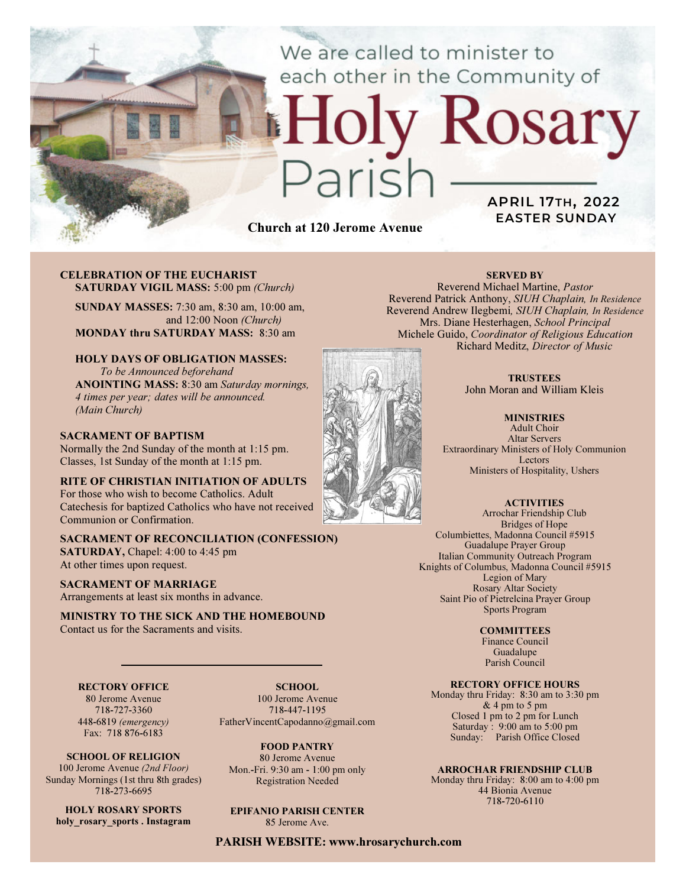We are called to minister to each other in the Community of

# ly Rosary Paris

Church at 120 Jerome Avenue

## APRIL 17TH, 2022 EASTER SUNDAY

#### CELEBRATION OF THE EUCHARIST SATURDAY VIGIL MASS: 5:00 pm (Church)

SUNDAY MASSES: 7:30 am, 8:30 am, 10:00 am, and 12:00 Noon (Church) MONDAY thru SATURDAY MASS: 8:30 am

# HOLY DAYS OF OBLIGATION MASSES:

To be Announced beforehand ANOINTING MASS: 8:30 am Saturday mornings, 4 times per year; dates will be announced. (Main Church)

#### SACRAMENT OF BAPTISM

Normally the 2nd Sunday of the month at 1:15 pm. Classes, 1st Sunday of the month at 1:15 pm.

RITE OF CHRISTIAN INITIATION OF ADULTS For those who wish to become Catholics. Adult Catechesis for baptized Catholics who have not received Communion or Confirmation.

SACRAMENT OF RECONCILIATION (CONFESSION) SATURDAY, Chapel: 4:00 to 4:45 pm At other times upon request.

SACRAMENT OF MARRIAGE Arrangements at least six months in advance.

#### MINISTRY TO THE SICK AND THE HOMEBOUND Contact us for the Sacraments and visits.

RECTORY OFFICE

80 Jerome Avenue 718-727-3360 448-6819 (emergency) Fax: 718 876-6183

SCHOOL OF RELIGION 100 Jerome Avenue (2nd Floor) Sunday Mornings (1st thru 8th grades) 718-273-6695

HOLY ROSARY SPORTS holy rosary sports . Instagram

SCHOOL. 100 Jerome Avenue 718-447-1195 FatherVincentCapodanno@gmail.com

FOOD PANTRY 80 Jerome Avenue Mon.-Fri. 9:30 am - 1:00 pm only Registration Needed

EPIFANIO PARISH CENTER 85 Jerome Ave.

PARISH WEBSITE: www.hrosarychurch.com

SERVED BY

Reverend Michael Martine, Pastor Reverend Patrick Anthony, SIUH Chaplain, In Residence Reverend Andrew Ilegbemi, SIUH Chaplain, In Residence Mrs. Diane Hesterhagen, School Principal Michele Guido, Coordinator of Religious Education Richard Meditz, Director of Music

> **TRUSTEES** John Moran and William Kleis

**MINISTRIES** Adult Choir Altar Servers Extraordinary Ministers of Holy Communion Lectors Ministers of Hospitality, Ushers

> **ACTIVITIES** Arrochar Friendship Club

Bridges of Hope Columbiettes, Madonna Council #5915 Guadalupe Prayer Group Italian Community Outreach Program Knights of Columbus, Madonna Council #5915 Legion of Mary Rosary Altar Society Saint Pio of Pietrelcina Prayer Group Sports Program

**COMMITTEES** 

Finance Council Guadalupe Parish Council

RECTORY OFFICE HOURS

Monday thru Friday: 8:30 am to 3:30 pm & 4 pm to 5 pm Closed 1 pm to 2 pm for Lunch Saturday:  $9:00 \text{ am to } 5:00 \text{ pm}$ Sunday: Parish Office Closed

#### ARROCHAR FRIENDSHIP CLUB

Monday thru Friday: 8:00 am to 4:00 pm 44 Bionia Avenue 718-720-6110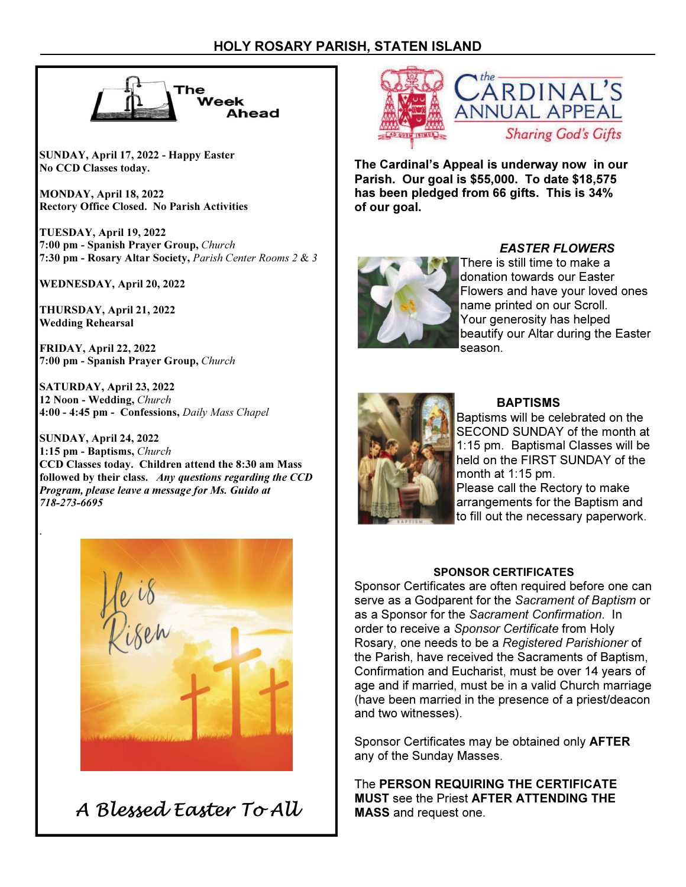

SUNDAY, April 17, 2022 - Happy Easter No CCD Classes today.

MONDAY, April 18, 2022 Rectory Office Closed. No Parish Activities

TUESDAY, April 19, 2022 7:00 pm - Spanish Prayer Group, Church 7:30 pm - Rosary Altar Society, Parish Center Rooms 2 & 3

WEDNESDAY, April 20, 2022

THURSDAY, April 21, 2022 Wedding Rehearsal

.

FRIDAY, April 22, 2022 7:00 pm - Spanish Prayer Group, Church

SATURDAY, April 23, 2022 12 Noon - Wedding, Church 4:00 - 4:45 pm - Confessions, Daily Mass Chapel

SUNDAY, April 24, 2022 1:15 pm - Baptisms, Church CCD Classes today. Children attend the 8:30 am Mass followed by their class. Any questions regarding the CCD Program, please leave a message for Ms. Guido at 718-273-6695



A Blessed Easter To All



The Cardinal's Appeal is underway now in our Parish. Our goal is \$55,000. To date \$18,575 has been pledged from 66 gifts. This is 34% of our goal.



### EASTER FLOWERS

There is still time to make a donation towards our Easter Flowers and have your loved ones name printed on our Scroll. Your generosity has helped beautify our Altar during the Easter season.



#### BAPTISMS

Baptisms will be celebrated on the SECOND SUNDAY of the month at 1:15 pm. Baptismal Classes will be held on the FIRST SUNDAY of the month at 1:15 pm.

Please call the Rectory to make arrangements for the Baptism and to fill out the necessary paperwork.

#### SPONSOR CERTIFICATES

Sponsor Certificates are often required before one can serve as a Godparent for the Sacrament of Baptism or as a Sponsor for the Sacrament Confirmation. In order to receive a Sponsor Certificate from Holy Rosary, one needs to be a Registered Parishioner of the Parish, have received the Sacraments of Baptism, Confirmation and Eucharist, must be over 14 years of age and if married, must be in a valid Church marriage (have been married in the presence of a priest/deacon and two witnesses).

Sponsor Certificates may be obtained only AFTER any of the Sunday Masses.

The PERSON REQUIRING THE CERTIFICATE MUST see the Priest AFTER ATTENDING THE MASS and request one.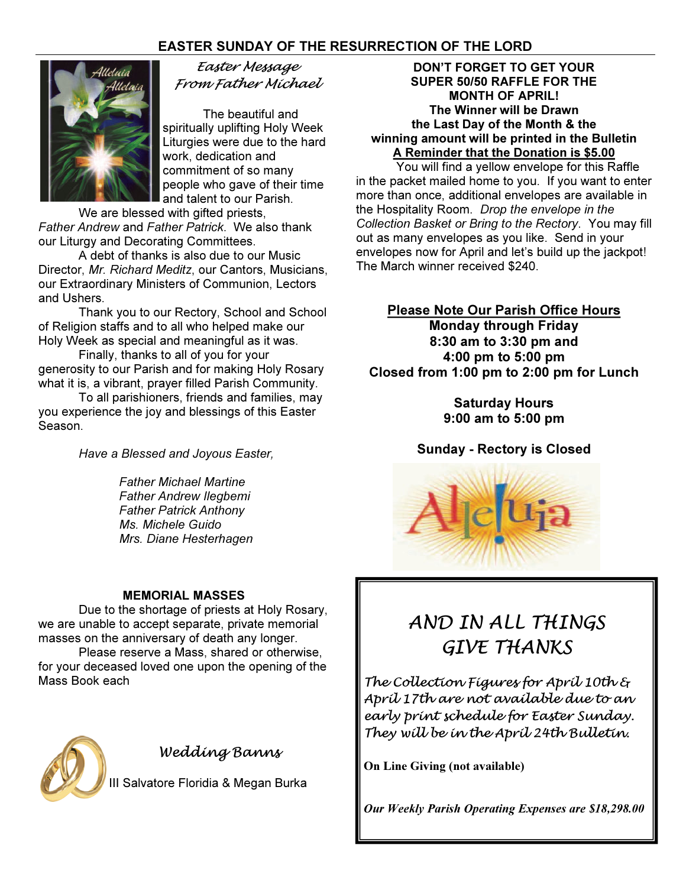# EASTER SUNDAY OF THE RESURRECTION OF THE LORD



Easter Message From Father Michael

The beautiful and spiritually uplifting Holy Week Liturgies were due to the hard work, dedication and commitment of so many people who gave of their time and talent to our Parish.

 We are blessed with gifted priests, Father Andrew and Father Patrick. We also thank our Liturgy and Decorating Committees.

 A debt of thanks is also due to our Music Director, Mr. Richard Meditz, our Cantors, Musicians, our Extraordinary Ministers of Communion, Lectors and Ushers.

 Thank you to our Rectory, School and School of Religion staffs and to all who helped make our Holy Week as special and meaningful as it was.

 Finally, thanks to all of you for your generosity to our Parish and for making Holy Rosary what it is, a vibrant, prayer filled Parish Community.

To all parishioners, friends and families, may you experience the joy and blessings of this Easter Season.

Have a Blessed and Joyous Easter,

 Father Michael Martine Father Andrew Ilegbemi Father Patrick Anthony Ms. Michele Guido Mrs. Diane Hesterhagen

#### MEMORIAL MASSES

 Due to the shortage of priests at Holy Rosary, we are unable to accept separate, private memorial masses on the anniversary of death any longer.

 Please reserve a Mass, shared or otherwise, for your deceased loved one upon the opening of the Mass Book each



Wedding Banns

II Salvatore Floridia & Megan Burka

DON'T FORGET TO GET YOUR SUPER 50/50 RAFFLE FOR THE MONTH OF APRIL! The Winner will be Drawn the Last Day of the Month & the winning amount will be printed in the Bulletin A Reminder that the Donation is \$5.00

 You will find a yellow envelope for this Raffle in the packet mailed home to you. If you want to enter more than once, additional envelopes are available in the Hospitality Room. Drop the envelope in the Collection Basket or Bring to the Rectory. You may fill out as many envelopes as you like. Send in your envelopes now for April and let's build up the jackpot! The March winner received \$240.

Please Note Our Parish Office Hours

Monday through Friday 8:30 am to 3:30 pm and 4:00 pm to 5:00 pm Closed from 1:00 pm to 2:00 pm for Lunch

> Saturday Hours 9:00 am to 5:00 pm

Sunday - Rectory is Closed



# AND IN ALL THINGS GIVE THANKS

The Collection Figures for April 10th & April 17th are not available due to an early print schedule for Easter Sunday. They will be in the April 24th Bulletin.

On Line Giving (not available)

Our Weekly Parish Operating Expenses are \$18,298.00